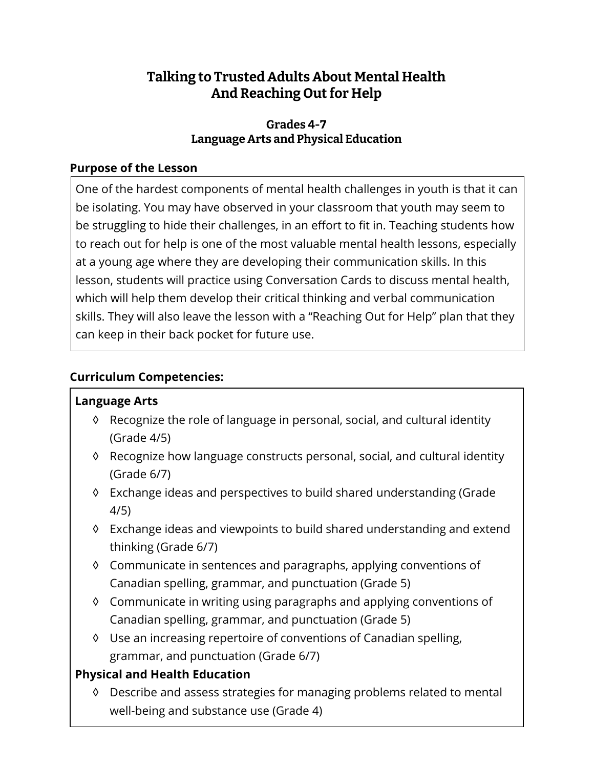# **Talking to Trusted Adults About Mental Health And Reaching Out for Help**

# **Grades 4-7 Language Arts and Physical Education**

# **Purpose of the Lesson**

One of the hardest components of mental health challenges in youth is that it can be isolating. You may have observed in your classroom that youth may seem to be struggling to hide their challenges, in an effort to fit in. Teaching students how to reach out for help is one of the most valuable mental health lessons, especially at a young age where they are developing their communication skills. In this lesson, students will practice using Conversation Cards to discuss mental health, which will help them develop their critical thinking and verbal communication skills. They will also leave the lesson with a "Reaching Out for Help" plan that they can keep in their back pocket for future use.

# **Curriculum Competencies:**

### **Language Arts**

- ◊ Recognize the role of language in personal, social, and cultural identity (Grade 4/5)
- ◊ Recognize how language constructs personal, social, and cultural identity (Grade 6/7)
- ◊ Exchange ideas and perspectives to build shared understanding (Grade 4/5)
- ◊ Exchange ideas and viewpoints to build shared understanding and extend thinking (Grade 6/7)
- ◊ Communicate in sentences and paragraphs, applying conventions of Canadian spelling, grammar, and punctuation (Grade 5)
- ◊ Communicate in writing using paragraphs and applying conventions of Canadian spelling, grammar, and punctuation (Grade 5)
- ◊ Use an increasing repertoire of conventions of Canadian spelling, grammar, and punctuation (Grade 6/7)

# **Physical and Health Education**

◊ Describe and assess strategies for managing problems related to mental well-being and substance use (Grade 4)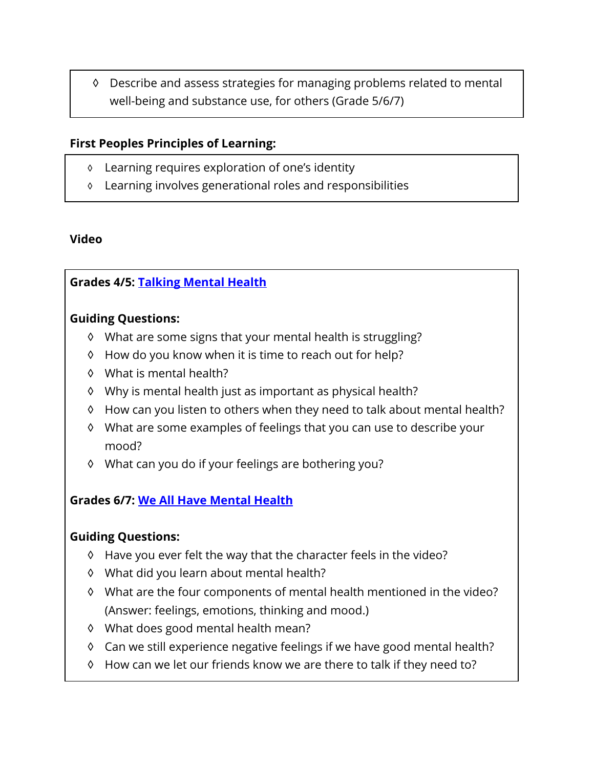◊ Describe and assess strategies for managing problems related to mental well-being and substance use, for others (Grade 5/6/7)

### **First Peoples Principles of Learning:**

- ◊ Learning requires exploration of one's identity
- ◊ Learning involves generational roles and responsibilities

### **Video**

# **Grades 4/5: [Talking Mental Health](https://www.youtube.com/watch?v=nCrjevx3-Js&feature=youtu.be)**

#### **Guiding Questions:**

- ◊ What are some signs that your mental health is struggling?
- ◊ How do you know when it is time to reach out for help?
- ◊ What is mental health?
- ◊ Why is mental health just as important as physical health?
- ◊ How can you listen to others when they need to talk about mental health?
- ◊ What are some examples of feelings that you can use to describe your mood?
- ◊ What can you do if your feelings are bothering you?

### **Grades 6/7: [We All Have Mental Health](https://www.youtube.com/watch?v=DxIDKZHW3-E&t=26s)**

#### **Guiding Questions:**

- ◊ Have you ever felt the way that the character feels in the video?
- ◊ What did you learn about mental health?
- ◊ What are the four components of mental health mentioned in the video? (Answer: feelings, emotions, thinking and mood.)
- ◊ What does good mental health mean?
- ◊ Can we still experience negative feelings if we have good mental health?
- ◊ How can we let our friends know we are there to talk if they need to?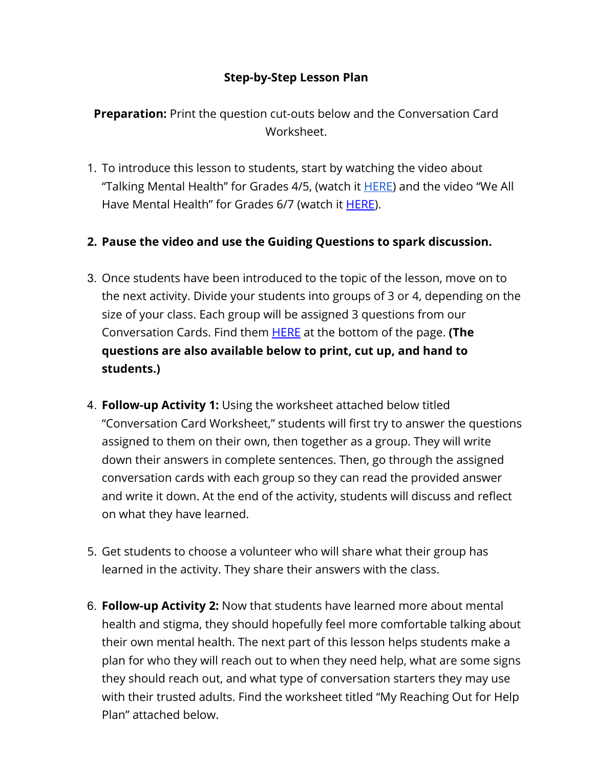# **Step-by-Step Lesson Plan**

**Preparation:** Print the question cut-outs below and the Conversation Card Worksheet.

1. To introduce this lesson to students, start by watching the video about "Talking Mental Health" for Grades 4/5, (watch it [HERE\)](https://youtu.be/nCrjevx3-Js) and the video "We All Have Mental Health" for Grades 6/7 (watch it [HERE](https://www.youtube.com/watch?v=DxIDKZHW3-E&t=26s)).

# **2. Pause the video and use the Guiding Questions to spark discussion.**

- 3. Once students have been introduced to the topic of the lesson, move on to the next activity. Divide your students into groups of 3 or 4, depending on the size of your class. Each group will be assigned 3 questions from our Conversation Cards. Find them [HERE](https://studentmentalhealthtoolkit.com/teens-corner/teens-activities/) at the bottom of the page. **(The questions are also available below to print, cut up, and hand to students.)**
- 4. **Follow-up Activity 1:** Using the worksheet attached below titled "Conversation Card Worksheet," students will first try to answer the questions assigned to them on their own, then together as a group. They will write down their answers in complete sentences. Then, go through the assigned conversation cards with each group so they can read the provided answer and write it down. At the end of the activity, students will discuss and reflect on what they have learned.
- 5. Get students to choose a volunteer who will share what their group has learned in the activity. They share their answers with the class.
- 6. **Follow-up Activity 2:** Now that students have learned more about mental health and stigma, they should hopefully feel more comfortable talking about their own mental health. The next part of this lesson helps students make a plan for who they will reach out to when they need help, what are some signs they should reach out, and what type of conversation starters they may use with their trusted adults. Find the worksheet titled "My Reaching Out for Help Plan" attached below.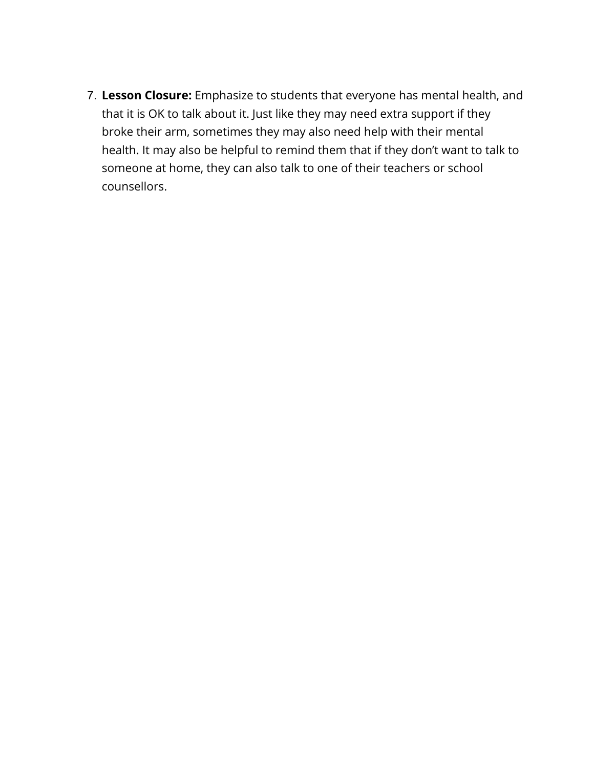7. **Lesson Closure:** Emphasize to students that everyone has mental health, and that it is OK to talk about it. Just like they may need extra support if they broke their arm, sometimes they may also need help with their mental health. It may also be helpful to remind them that if they don't want to talk to someone at home, they can also talk to one of their teachers or school counsellors.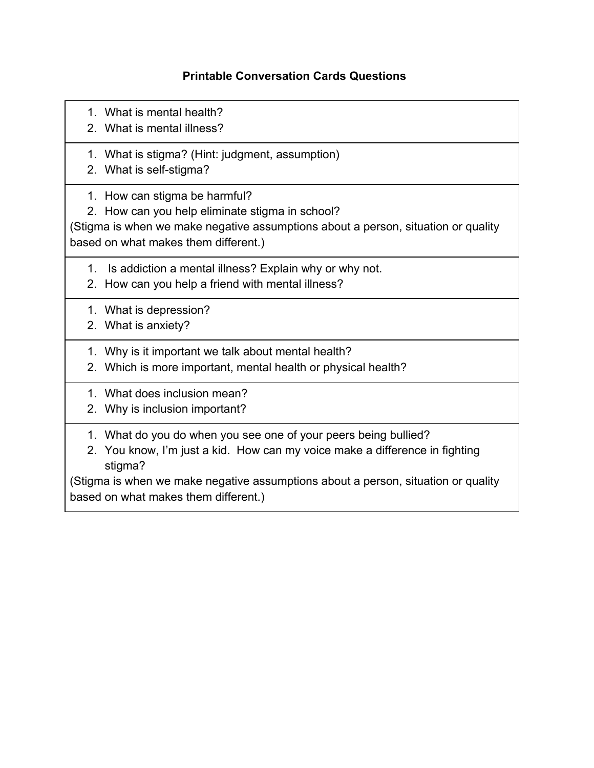### **Printable Conversation Cards Questions**

- 1. What is mental health?
- 2. What is mental illness?
- 1. What is stigma? (Hint: judgment, assumption)
- 2. What is self-stigma?
- 1. How can stigma be harmful?
- 2. How can you help eliminate stigma in school?

(Stigma is when we make negative assumptions about a person, situation or quality based on what makes them different.)

- 1. Is addiction a mental illness? Explain why or why not.
- 2. How can you help a friend with mental illness?
- 1. What is depression?
- 2. What is anxiety?
- 1. Why is it important we talk about mental health?
- 2. Which is more important, mental health or physical health?
- 1. What does inclusion mean?
- 2. Why is inclusion important?
- 1. What do you do when you see one of your peers being bullied?
- 2. You know, I'm just a kid. How can my voice make a difference in fighting stigma?

(Stigma is when we make negative assumptions about a person, situation or quality based on what makes them different.)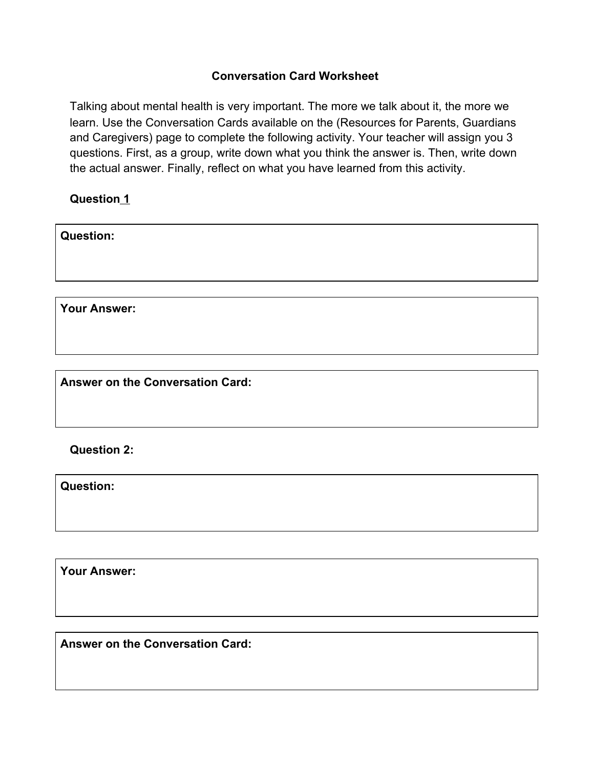#### **Conversation Card Worksheet**

Talking about mental health is very important. The more we talk about it, the more we learn. Use the Conversation Cards available on the (Resources for Parents, Guardians and Caregivers) page to complete the following activity. Your teacher will assign you 3 questions. First, as a group, write down what you think the answer is. Then, write down the actual answer. Finally, reflect on what you have learned from this activity.

**Question 1**

| <b>Question:</b> |  |  |
|------------------|--|--|
|                  |  |  |
|                  |  |  |

**Your Answer:** 

**Answer on the Conversation Card:** 

**Question 2:** 

**Question:** 

**Your Answer:** 

**Answer on the Conversation Card:**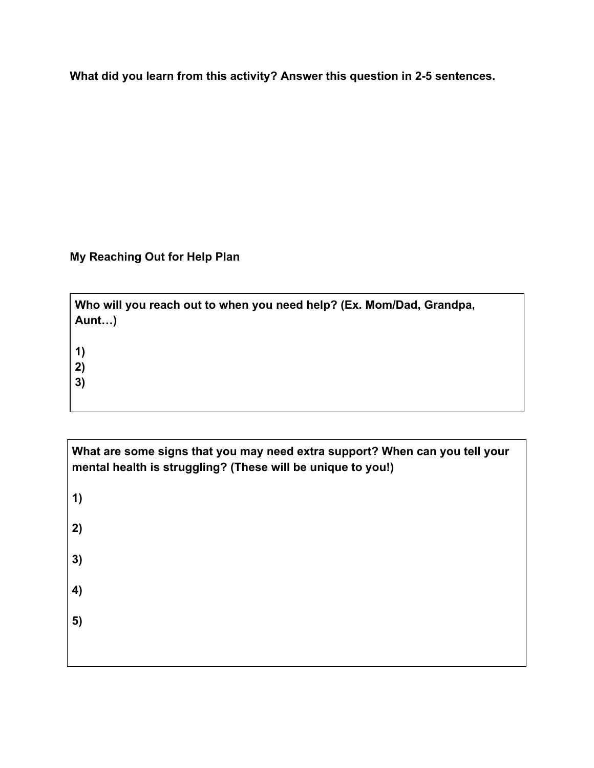**What did you learn from this activity? Answer this question in 2-5 sentences.** 

**My Reaching Out for Help Plan** 

| Who will you reach out to when you need help? (Ex. Mom/Dad, Grandpa,<br>Aunt) |
|-------------------------------------------------------------------------------|
| $\vert$ 1)<br>2)<br>3)                                                        |
|                                                                               |

| What are some signs that you may need extra support? When can you tell your<br>mental health is struggling? (These will be unique to you!) |  |  |
|--------------------------------------------------------------------------------------------------------------------------------------------|--|--|
| 1)                                                                                                                                         |  |  |
| 2)                                                                                                                                         |  |  |
| 3)                                                                                                                                         |  |  |
| 4)                                                                                                                                         |  |  |
| 5)                                                                                                                                         |  |  |
|                                                                                                                                            |  |  |